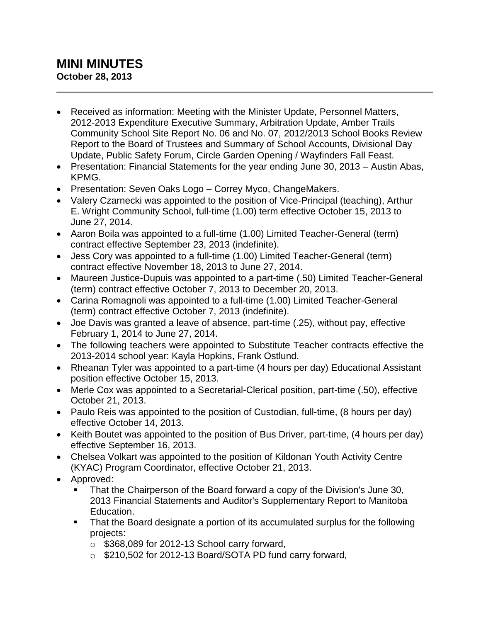## **MINI MINUTES October 28, 2013**

- Received as information: Meeting with the Minister Update, Personnel Matters, 2012-2013 Expenditure Executive Summary, Arbitration Update, Amber Trails Community School Site Report No. 06 and No. 07, 2012/2013 School Books Review Report to the Board of Trustees and Summary of School Accounts, Divisional Day Update, Public Safety Forum, Circle Garden Opening / Wayfinders Fall Feast.
- Presentation: Financial Statements for the year ending June 30, 2013 Austin Abas, KPMG.
- Presentation: Seven Oaks Logo Correy Myco, ChangeMakers.
- Valery Czarnecki was appointed to the position of Vice-Principal (teaching), Arthur E. Wright Community School, full-time (1.00) term effective October 15, 2013 to June 27, 2014.
- Aaron Boila was appointed to a full-time (1.00) Limited Teacher-General (term) contract effective September 23, 2013 (indefinite).
- Jess Cory was appointed to a full-time (1.00) Limited Teacher-General (term) contract effective November 18, 2013 to June 27, 2014.
- Maureen Justice-Dupuis was appointed to a part-time (.50) Limited Teacher-General (term) contract effective October 7, 2013 to December 20, 2013.
- Carina Romagnoli was appointed to a full-time (1.00) Limited Teacher-General (term) contract effective October 7, 2013 (indefinite).
- Joe Davis was granted a leave of absence, part-time (.25), without pay, effective February 1, 2014 to June 27, 2014.
- The following teachers were appointed to Substitute Teacher contracts effective the 2013-2014 school year: Kayla Hopkins, Frank Ostlund.
- Rheanan Tyler was appointed to a part-time (4 hours per day) Educational Assistant position effective October 15, 2013.
- Merle Cox was appointed to a Secretarial-Clerical position, part-time (.50), effective October 21, 2013.
- Paulo Reis was appointed to the position of Custodian, full-time, (8 hours per day) effective October 14, 2013.
- Keith Boutet was appointed to the position of Bus Driver, part-time, (4 hours per day) effective September 16, 2013.
- Chelsea Volkart was appointed to the position of Kildonan Youth Activity Centre (KYAC) Program Coordinator, effective October 21, 2013.
- Approved:
	- That the Chairperson of the Board forward a copy of the Division's June 30, 2013 Financial Statements and Auditor's Supplementary Report to Manitoba Education.
	- That the Board designate a portion of its accumulated surplus for the following projects:
		- o \$368,089 for 2012-13 School carry forward,
		- o \$210,502 for 2012-13 Board/SOTA PD fund carry forward,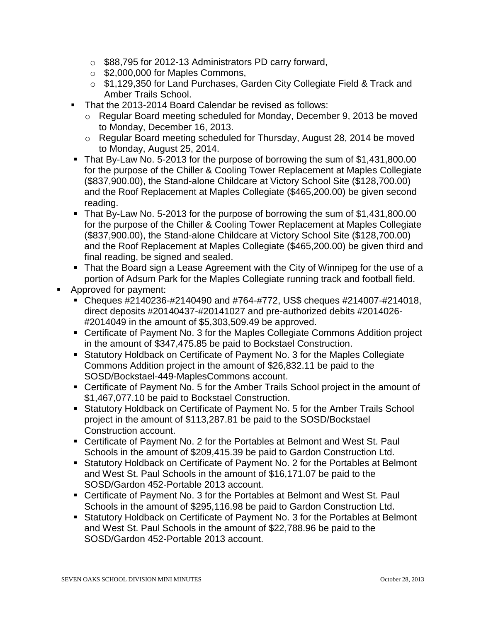- o \$88,795 for 2012-13 Administrators PD carry forward,
- o \$2,000,000 for Maples Commons,
- o \$1,129,350 for Land Purchases, Garden City Collegiate Field & Track and Amber Trails School.
- That the 2013-2014 Board Calendar be revised as follows:
	- o Regular Board meeting scheduled for Monday, December 9, 2013 be moved to Monday, December 16, 2013.
	- o Regular Board meeting scheduled for Thursday, August 28, 2014 be moved to Monday, August 25, 2014.
- That By-Law No. 5-2013 for the purpose of borrowing the sum of \$1,431,800.00 for the purpose of the Chiller & Cooling Tower Replacement at Maples Collegiate (\$837,900.00), the Stand-alone Childcare at Victory School Site (\$128,700.00) and the Roof Replacement at Maples Collegiate (\$465,200.00) be given second reading.
- That By-Law No. 5-2013 for the purpose of borrowing the sum of \$1,431,800.00 for the purpose of the Chiller & Cooling Tower Replacement at Maples Collegiate (\$837,900.00), the Stand-alone Childcare at Victory School Site (\$128,700.00) and the Roof Replacement at Maples Collegiate (\$465,200.00) be given third and final reading, be signed and sealed.
- That the Board sign a Lease Agreement with the City of Winnipeg for the use of a portion of Adsum Park for the Maples Collegiate running track and football field.
- Approved for payment:
	- Cheques #2140236-#2140490 and #764-#772, US\$ cheques #214007-#214018, direct deposits #20140437-#20141027 and pre-authorized debits #2014026- #2014049 in the amount of \$5,303,509.49 be approved.
	- Certificate of Payment No. 3 for the Maples Collegiate Commons Addition project in the amount of \$347,475.85 be paid to Bockstael Construction.
	- Statutory Holdback on Certificate of Payment No. 3 for the Maples Collegiate Commons Addition project in the amount of \$26,832.11 be paid to the SOSD/Bockstael-449-MaplesCommons account.
	- Certificate of Payment No. 5 for the Amber Trails School project in the amount of \$1,467,077.10 be paid to Bockstael Construction.
	- Statutory Holdback on Certificate of Payment No. 5 for the Amber Trails School project in the amount of \$113,287.81 be paid to the SOSD/Bockstael Construction account.
	- Certificate of Payment No. 2 for the Portables at Belmont and West St. Paul Schools in the amount of \$209,415.39 be paid to Gardon Construction Ltd.
	- Statutory Holdback on Certificate of Payment No. 2 for the Portables at Belmont and West St. Paul Schools in the amount of \$16,171.07 be paid to the SOSD/Gardon 452-Portable 2013 account.
	- Certificate of Payment No. 3 for the Portables at Belmont and West St. Paul Schools in the amount of \$295,116.98 be paid to Gardon Construction Ltd.
	- Statutory Holdback on Certificate of Payment No. 3 for the Portables at Belmont and West St. Paul Schools in the amount of \$22,788.96 be paid to the SOSD/Gardon 452-Portable 2013 account.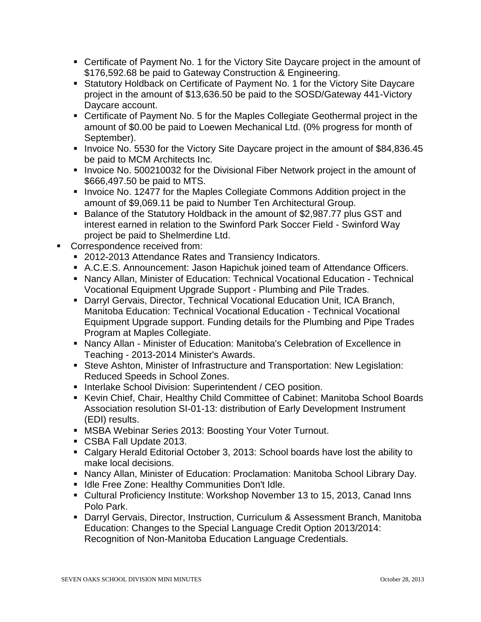- Certificate of Payment No. 1 for the Victory Site Daycare project in the amount of \$176,592.68 be paid to Gateway Construction & Engineering.
- Statutory Holdback on Certificate of Payment No. 1 for the Victory Site Daycare project in the amount of \$13,636.50 be paid to the SOSD/Gateway 441-Victory Daycare account.
- Certificate of Payment No. 5 for the Maples Collegiate Geothermal project in the amount of \$0.00 be paid to Loewen Mechanical Ltd. (0% progress for month of September).
- Invoice No. 5530 for the Victory Site Daycare project in the amount of \$84,836.45 be paid to MCM Architects Inc.
- Invoice No. 500210032 for the Divisional Fiber Network project in the amount of \$666,497.50 be paid to MTS.
- Invoice No. 12477 for the Maples Collegiate Commons Addition project in the amount of \$9,069.11 be paid to Number Ten Architectural Group.
- Balance of the Statutory Holdback in the amount of \$2,987.77 plus GST and interest earned in relation to the Swinford Park Soccer Field - Swinford Way project be paid to Shelmerdine Ltd.
- **Correspondence received from:** 
	- 2012-2013 Attendance Rates and Transiency Indicators.
	- A.C.E.S. Announcement: Jason Hapichuk joined team of Attendance Officers.
	- Nancy Allan, Minister of Education: Technical Vocational Education Technical Vocational Equipment Upgrade Support - Plumbing and Pile Trades.
	- Darryl Gervais, Director, Technical Vocational Education Unit, ICA Branch, Manitoba Education: Technical Vocational Education - Technical Vocational Equipment Upgrade support. Funding details for the Plumbing and Pipe Trades Program at Maples Collegiate.
	- Nancy Allan Minister of Education: Manitoba's Celebration of Excellence in Teaching - 2013-2014 Minister's Awards.
	- Steve Ashton, Minister of Infrastructure and Transportation: New Legislation: Reduced Speeds in School Zones.
	- **Interlake School Division: Superintendent / CEO position.**
	- Kevin Chief, Chair, Healthy Child Committee of Cabinet: Manitoba School Boards Association resolution SI-01-13: distribution of Early Development Instrument (EDI) results.
	- **MSBA Webinar Series 2013: Boosting Your Voter Turnout.**
	- CSBA Fall Update 2013.
	- Calgary Herald Editorial October 3, 2013: School boards have lost the ability to make local decisions.
	- Nancy Allan, Minister of Education: Proclamation: Manitoba School Library Day.
	- **If Idle Free Zone: Healthy Communities Don't Idle.**
	- Cultural Proficiency Institute: Workshop November 13 to 15, 2013, Canad Inns Polo Park.
	- Darryl Gervais, Director, Instruction, Curriculum & Assessment Branch, Manitoba Education: Changes to the Special Language Credit Option 2013/2014: Recognition of Non-Manitoba Education Language Credentials.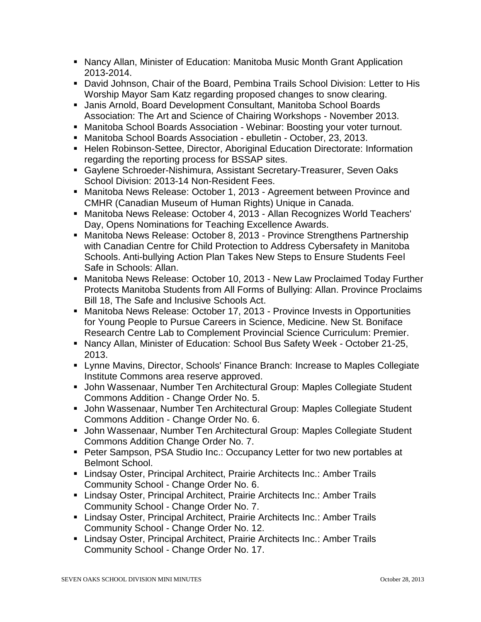- Nancy Allan, Minister of Education: Manitoba Music Month Grant Application 2013-2014.
- David Johnson, Chair of the Board, Pembina Trails School Division: Letter to His Worship Mayor Sam Katz regarding proposed changes to snow clearing.
- Janis Arnold, Board Development Consultant, Manitoba School Boards Association: The Art and Science of Chairing Workshops - November 2013.
- Manitoba School Boards Association Webinar: Boosting your voter turnout.
- Manitoba School Boards Association ebulletin October, 23, 2013.
- Helen Robinson-Settee, Director, Aboriginal Education Directorate: Information regarding the reporting process for BSSAP sites.
- Gaylene Schroeder-Nishimura, Assistant Secretary-Treasurer, Seven Oaks School Division: 2013-14 Non-Resident Fees.
- Manitoba News Release: October 1, 2013 Agreement between Province and CMHR (Canadian Museum of Human Rights) Unique in Canada.
- Manitoba News Release: October 4, 2013 Allan Recognizes World Teachers' Day, Opens Nominations for Teaching Excellence Awards.
- Manitoba News Release: October 8, 2013 Province Strengthens Partnership with Canadian Centre for Child Protection to Address Cybersafety in Manitoba Schools. Anti-bullying Action Plan Takes New Steps to Ensure Students Feel Safe in Schools: Allan.
- Manitoba News Release: October 10, 2013 New Law Proclaimed Today Further Protects Manitoba Students from All Forms of Bullying: Allan. Province Proclaims Bill 18, The Safe and Inclusive Schools Act.
- Manitoba News Release: October 17, 2013 Province Invests in Opportunities for Young People to Pursue Careers in Science, Medicine. New St. Boniface Research Centre Lab to Complement Provincial Science Curriculum: Premier.
- Nancy Allan, Minister of Education: School Bus Safety Week October 21-25, 2013.
- Lynne Mavins, Director, Schools' Finance Branch: Increase to Maples Collegiate Institute Commons area reserve approved.
- John Wassenaar, Number Ten Architectural Group: Maples Collegiate Student Commons Addition - Change Order No. 5.
- John Wassenaar, Number Ten Architectural Group: Maples Collegiate Student Commons Addition - Change Order No. 6.
- John Wassenaar, Number Ten Architectural Group: Maples Collegiate Student Commons Addition Change Order No. 7.
- Peter Sampson, PSA Studio Inc.: Occupancy Letter for two new portables at Belmont School.
- Lindsay Oster, Principal Architect, Prairie Architects Inc.: Amber Trails Community School - Change Order No. 6.
- Lindsay Oster, Principal Architect, Prairie Architects Inc.: Amber Trails Community School - Change Order No. 7.
- Lindsay Oster, Principal Architect, Prairie Architects Inc.: Amber Trails Community School - Change Order No. 12.
- Lindsay Oster, Principal Architect, Prairie Architects Inc.: Amber Trails Community School - Change Order No. 17.